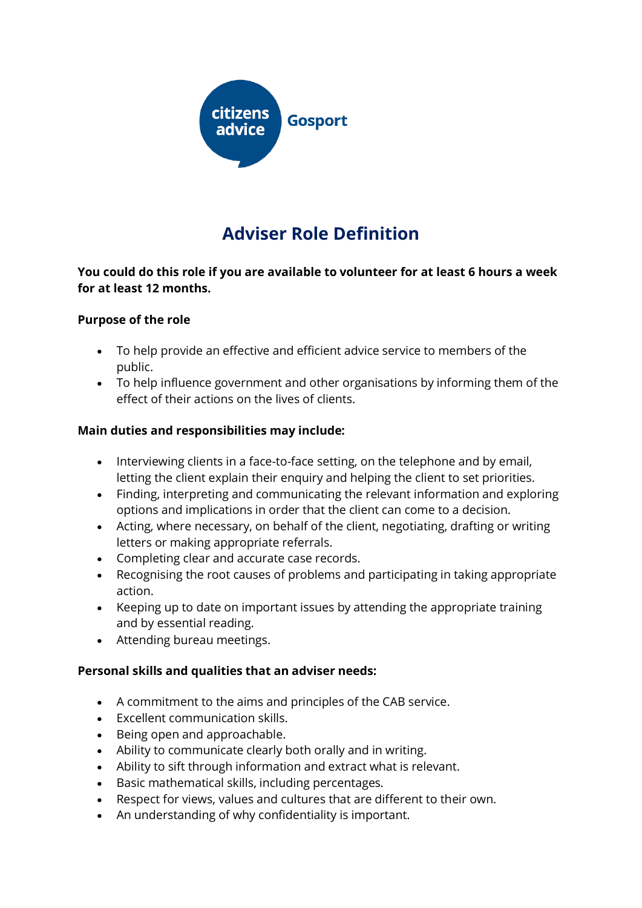

# **Adviser Role Definition**

### **You could do this role if you are available to volunteer for at least 6 hours a week for at least 12 months.**

#### **Purpose of the role**

- To help provide an effective and efficient advice service to members of the public.
- To help influence government and other organisations by informing them of the effect of their actions on the lives of clients.

#### **Main duties and responsibilities may include:**

- Interviewing clients in a face-to-face setting, on the telephone and by email, letting the client explain their enquiry and helping the client to set priorities.
- Finding, interpreting and communicating the relevant information and exploring options and implications in order that the client can come to a decision.
- Acting, where necessary, on behalf of the client, negotiating, drafting or writing letters or making appropriate referrals.
- Completing clear and accurate case records.
- Recognising the root causes of problems and participating in taking appropriate action.
- Keeping up to date on important issues by attending the appropriate training and by essential reading.
- Attending bureau meetings.

#### **Personal skills and qualities that an adviser needs:**

- A commitment to the aims and principles of the CAB service.
- Excellent communication skills.
- Being open and approachable.
- Ability to communicate clearly both orally and in writing.
- Ability to sift through information and extract what is relevant.
- Basic mathematical skills, including percentages.
- Respect for views, values and cultures that are different to their own.
- An understanding of why confidentiality is important.